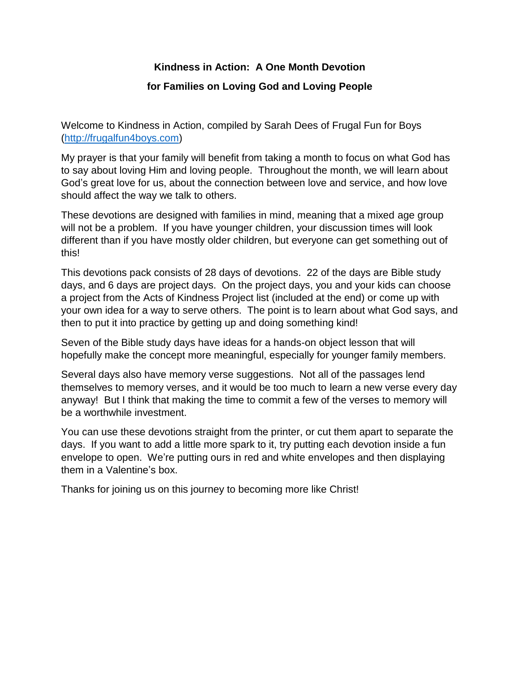# **Kindness in Action: A One Month Devotion for Families on Loving God and Loving People**

Welcome to Kindness in Action, compiled by Sarah Dees of Frugal Fun for Boys [\(http://frugalfun4boys.com\)](http://frugalfun4boys.com/)

My prayer is that your family will benefit from taking a month to focus on what God has to say about loving Him and loving people. Throughout the month, we will learn about God's great love for us, about the connection between love and service, and how love should affect the way we talk to others.

These devotions are designed with families in mind, meaning that a mixed age group will not be a problem. If you have younger children, your discussion times will look different than if you have mostly older children, but everyone can get something out of this!

This devotions pack consists of 28 days of devotions. 22 of the days are Bible study days, and 6 days are project days. On the project days, you and your kids can choose a project from the Acts of Kindness Project list (included at the end) or come up with your own idea for a way to serve others. The point is to learn about what God says, and then to put it into practice by getting up and doing something kind!

Seven of the Bible study days have ideas for a hands-on object lesson that will hopefully make the concept more meaningful, especially for younger family members.

Several days also have memory verse suggestions. Not all of the passages lend themselves to memory verses, and it would be too much to learn a new verse every day anyway! But I think that making the time to commit a few of the verses to memory will be a worthwhile investment.

You can use these devotions straight from the printer, or cut them apart to separate the days. If you want to add a little more spark to it, try putting each devotion inside a fun envelope to open. We're putting ours in red and white envelopes and then displaying them in a Valentine's box.

Thanks for joining us on this journey to becoming more like Christ!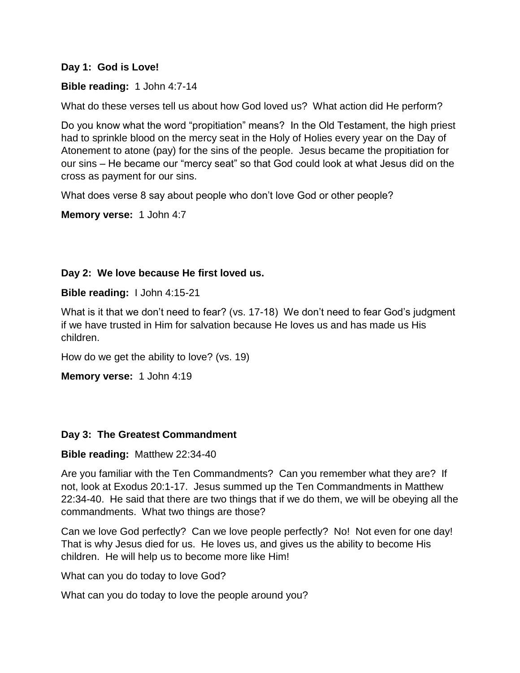#### **Day 1: God is Love!**

#### **Bible reading:** 1 John 4:7-14

What do these verses tell us about how God loved us? What action did He perform?

Do you know what the word "propitiation" means? In the Old Testament, the high priest had to sprinkle blood on the mercy seat in the Holy of Holies every year on the Day of Atonement to atone (pay) for the sins of the people. Jesus became the propitiation for our sins – He became our "mercy seat" so that God could look at what Jesus did on the cross as payment for our sins.

What does verse 8 say about people who don't love God or other people?

**Memory verse:** 1 John 4:7

## **Day 2: We love because He first loved us.**

**Bible reading:** I John 4:15-21

What is it that we don't need to fear? (vs. 17-18) We don't need to fear God's judgment if we have trusted in Him for salvation because He loves us and has made us His children.

How do we get the ability to love? (vs. 19)

**Memory verse:** 1 John 4:19

## **Day 3: The Greatest Commandment**

#### **Bible reading:** Matthew 22:34-40

Are you familiar with the Ten Commandments? Can you remember what they are? If not, look at Exodus 20:1-17. Jesus summed up the Ten Commandments in Matthew 22:34-40. He said that there are two things that if we do them, we will be obeying all the commandments. What two things are those?

Can we love God perfectly? Can we love people perfectly? No! Not even for one day! That is why Jesus died for us. He loves us, and gives us the ability to become His children. He will help us to become more like Him!

What can you do today to love God?

What can you do today to love the people around you?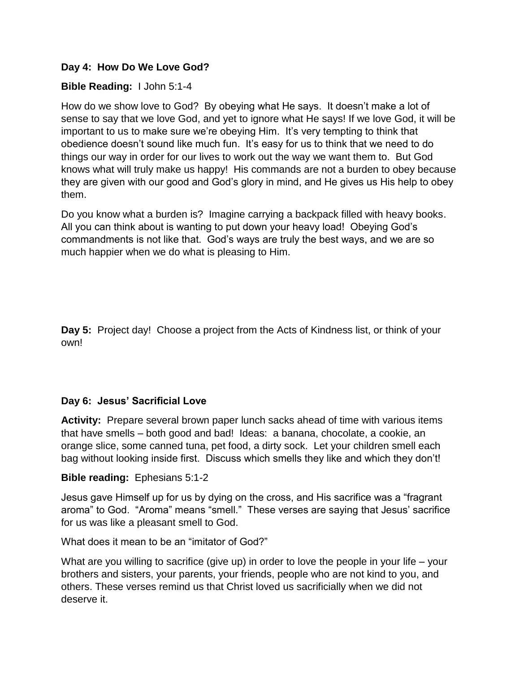# **Day 4: How Do We Love God?**

# **Bible Reading:** I John 5:1-4

How do we show love to God? By obeying what He says. It doesn't make a lot of sense to say that we love God, and yet to ignore what He says! If we love God, it will be important to us to make sure we're obeying Him. It's very tempting to think that obedience doesn't sound like much fun. It's easy for us to think that we need to do things our way in order for our lives to work out the way we want them to. But God knows what will truly make us happy! His commands are not a burden to obey because they are given with our good and God's glory in mind, and He gives us His help to obey them.

Do you know what a burden is? Imagine carrying a backpack filled with heavy books. All you can think about is wanting to put down your heavy load! Obeying God's commandments is not like that. God's ways are truly the best ways, and we are so much happier when we do what is pleasing to Him.

**Day 5:** Project day! Choose a project from the Acts of Kindness list, or think of your own!

## **Day 6: Jesus' Sacrificial Love**

**Activity:** Prepare several brown paper lunch sacks ahead of time with various items that have smells – both good and bad! Ideas: a banana, chocolate, a cookie, an orange slice, some canned tuna, pet food, a dirty sock. Let your children smell each bag without looking inside first. Discuss which smells they like and which they don't!

## **Bible reading:** Ephesians 5:1-2

Jesus gave Himself up for us by dying on the cross, and His sacrifice was a "fragrant aroma" to God. "Aroma" means "smell." These verses are saying that Jesus' sacrifice for us was like a pleasant smell to God.

## What does it mean to be an "imitator of God?"

What are you willing to sacrifice (give up) in order to love the people in your life – your brothers and sisters, your parents, your friends, people who are not kind to you, and others. These verses remind us that Christ loved us sacrificially when we did not deserve it.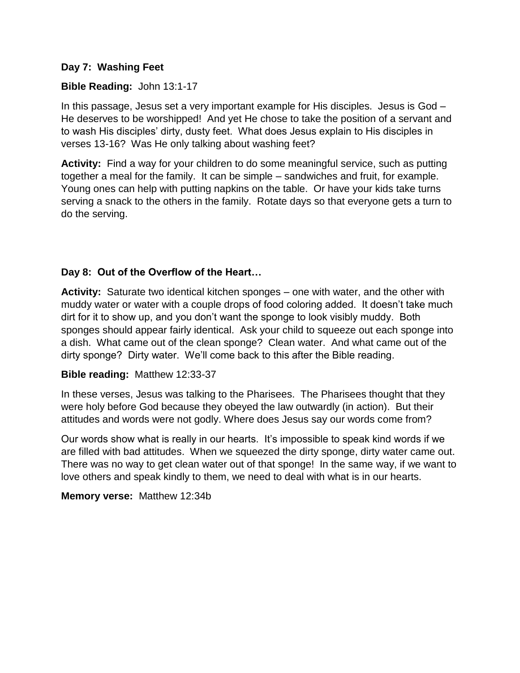## **Day 7: Washing Feet**

# **Bible Reading:** John 13:1-17

In this passage, Jesus set a very important example for His disciples. Jesus is God – He deserves to be worshipped! And yet He chose to take the position of a servant and to wash His disciples' dirty, dusty feet. What does Jesus explain to His disciples in verses 13-16? Was He only talking about washing feet?

**Activity:** Find a way for your children to do some meaningful service, such as putting together a meal for the family. It can be simple – sandwiches and fruit, for example. Young ones can help with putting napkins on the table. Or have your kids take turns serving a snack to the others in the family. Rotate days so that everyone gets a turn to do the serving.

# **Day 8: Out of the Overflow of the Heart…**

**Activity:** Saturate two identical kitchen sponges – one with water, and the other with muddy water or water with a couple drops of food coloring added. It doesn't take much dirt for it to show up, and you don't want the sponge to look visibly muddy. Both sponges should appear fairly identical. Ask your child to squeeze out each sponge into a dish. What came out of the clean sponge? Clean water. And what came out of the dirty sponge? Dirty water. We'll come back to this after the Bible reading.

## **Bible reading:** Matthew 12:33-37

In these verses, Jesus was talking to the Pharisees. The Pharisees thought that they were holy before God because they obeyed the law outwardly (in action). But their attitudes and words were not godly. Where does Jesus say our words come from?

Our words show what is really in our hearts. It's impossible to speak kind words if we are filled with bad attitudes. When we squeezed the dirty sponge, dirty water came out. There was no way to get clean water out of that sponge! In the same way, if we want to love others and speak kindly to them, we need to deal with what is in our hearts.

**Memory verse:** Matthew 12:34b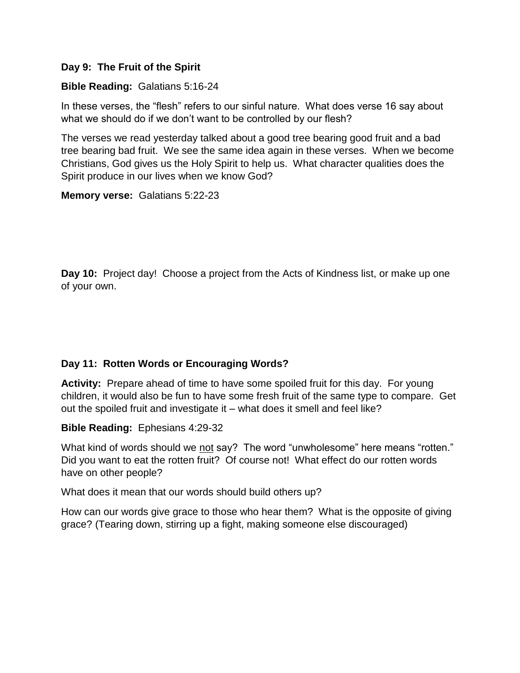## **Day 9: The Fruit of the Spirit**

# **Bible Reading:** Galatians 5:16-24

In these verses, the "flesh" refers to our sinful nature. What does verse 16 say about what we should do if we don't want to be controlled by our flesh?

The verses we read yesterday talked about a good tree bearing good fruit and a bad tree bearing bad fruit. We see the same idea again in these verses. When we become Christians, God gives us the Holy Spirit to help us. What character qualities does the Spirit produce in our lives when we know God?

## **Memory verse:** Galatians 5:22-23

**Day 10:** Project day! Choose a project from the Acts of Kindness list, or make up one of your own.

# **Day 11: Rotten Words or Encouraging Words?**

**Activity:** Prepare ahead of time to have some spoiled fruit for this day. For young children, it would also be fun to have some fresh fruit of the same type to compare. Get out the spoiled fruit and investigate it – what does it smell and feel like?

**Bible Reading:** Ephesians 4:29-32

What kind of words should we not say? The word "unwholesome" here means "rotten." Did you want to eat the rotten fruit? Of course not! What effect do our rotten words have on other people?

What does it mean that our words should build others up?

How can our words give grace to those who hear them? What is the opposite of giving grace? (Tearing down, stirring up a fight, making someone else discouraged)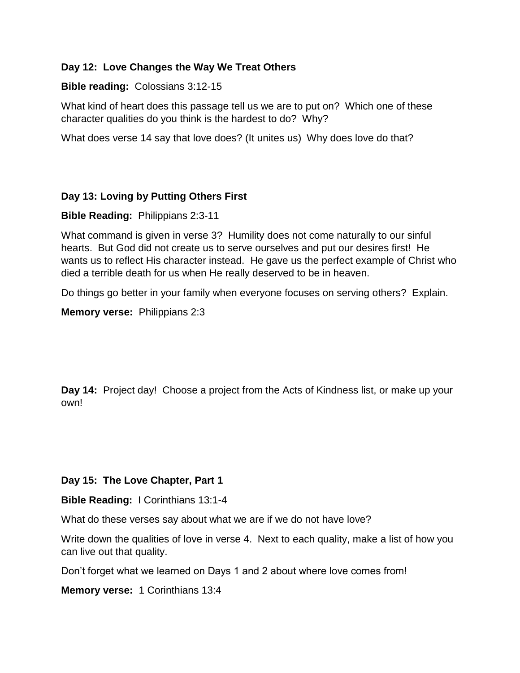# **Day 12: Love Changes the Way We Treat Others**

#### **Bible reading:** Colossians 3:12-15

What kind of heart does this passage tell us we are to put on? Which one of these character qualities do you think is the hardest to do? Why?

What does verse 14 say that love does? (It unites us) Why does love do that?

## **Day 13: Loving by Putting Others First**

**Bible Reading:** Philippians 2:3-11

What command is given in verse 3? Humility does not come naturally to our sinful hearts. But God did not create us to serve ourselves and put our desires first! He wants us to reflect His character instead. He gave us the perfect example of Christ who died a terrible death for us when He really deserved to be in heaven.

Do things go better in your family when everyone focuses on serving others? Explain.

**Memory verse:** Philippians 2:3

**Day 14:** Project day! Choose a project from the Acts of Kindness list, or make up your own!

## **Day 15: The Love Chapter, Part 1**

**Bible Reading:** I Corinthians 13:1-4

What do these verses say about what we are if we do not have love?

Write down the qualities of love in verse 4. Next to each quality, make a list of how you can live out that quality.

Don't forget what we learned on Days 1 and 2 about where love comes from!

**Memory verse:** 1 Corinthians 13:4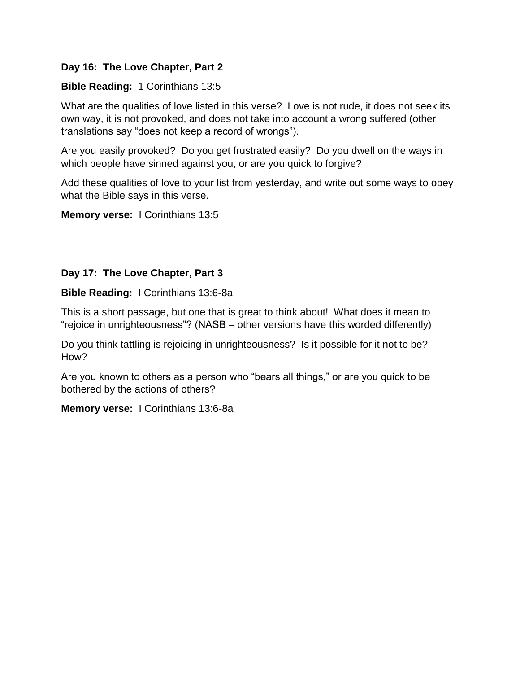# **Day 16: The Love Chapter, Part 2**

# **Bible Reading:** 1 Corinthians 13:5

What are the qualities of love listed in this verse? Love is not rude, it does not seek its own way, it is not provoked, and does not take into account a wrong suffered (other translations say "does not keep a record of wrongs").

Are you easily provoked? Do you get frustrated easily? Do you dwell on the ways in which people have sinned against you, or are you quick to forgive?

Add these qualities of love to your list from yesterday, and write out some ways to obey what the Bible says in this verse.

**Memory verse:** I Corinthians 13:5

# **Day 17: The Love Chapter, Part 3**

**Bible Reading:** I Corinthians 13:6-8a

This is a short passage, but one that is great to think about! What does it mean to "rejoice in unrighteousness"? (NASB – other versions have this worded differently)

Do you think tattling is rejoicing in unrighteousness? Is it possible for it not to be? How?

Are you known to others as a person who "bears all things," or are you quick to be bothered by the actions of others?

**Memory verse:** I Corinthians 13:6-8a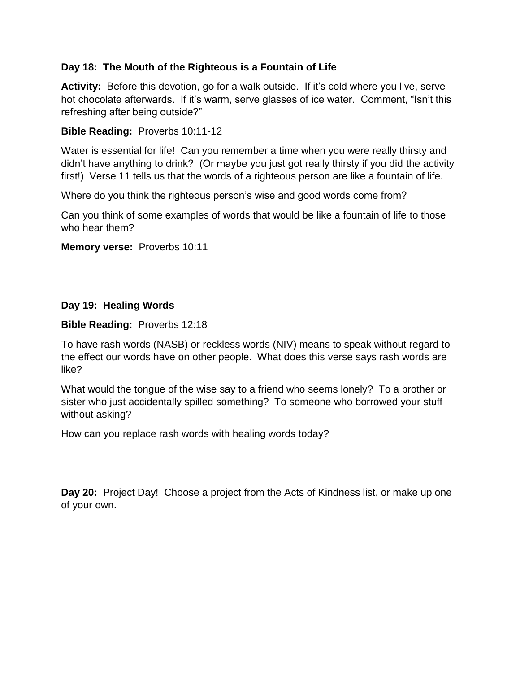# **Day 18: The Mouth of the Righteous is a Fountain of Life**

**Activity:** Before this devotion, go for a walk outside. If it's cold where you live, serve hot chocolate afterwards. If it's warm, serve glasses of ice water. Comment, "Isn't this refreshing after being outside?"

# **Bible Reading:** Proverbs 10:11-12

Water is essential for life! Can you remember a time when you were really thirsty and didn't have anything to drink? (Or maybe you just got really thirsty if you did the activity first!) Verse 11 tells us that the words of a righteous person are like a fountain of life.

Where do you think the righteous person's wise and good words come from?

Can you think of some examples of words that would be like a fountain of life to those who hear them?

**Memory verse:** Proverbs 10:11

## **Day 19: Healing Words**

**Bible Reading:** Proverbs 12:18

To have rash words (NASB) or reckless words (NIV) means to speak without regard to the effect our words have on other people. What does this verse says rash words are like?

What would the tongue of the wise say to a friend who seems lonely? To a brother or sister who just accidentally spilled something? To someone who borrowed your stuff without asking?

How can you replace rash words with healing words today?

**Day 20:** Project Day! Choose a project from the Acts of Kindness list, or make up one of your own.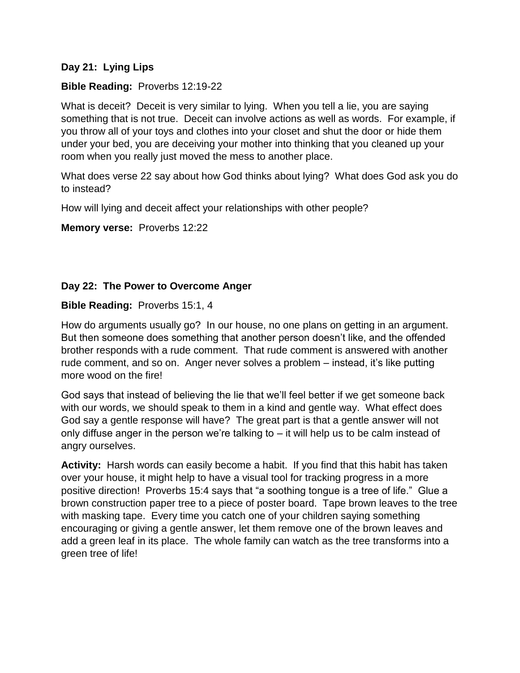# **Day 21: Lying Lips**

# **Bible Reading:** Proverbs 12:19-22

What is deceit? Deceit is very similar to lying. When you tell a lie, you are saying something that is not true. Deceit can involve actions as well as words. For example, if you throw all of your toys and clothes into your closet and shut the door or hide them under your bed, you are deceiving your mother into thinking that you cleaned up your room when you really just moved the mess to another place.

What does verse 22 say about how God thinks about lying? What does God ask you do to instead?

How will lying and deceit affect your relationships with other people?

**Memory verse:** Proverbs 12:22

# **Day 22: The Power to Overcome Anger**

## **Bible Reading:** Proverbs 15:1, 4

How do arguments usually go? In our house, no one plans on getting in an argument. But then someone does something that another person doesn't like, and the offended brother responds with a rude comment. That rude comment is answered with another rude comment, and so on. Anger never solves a problem – instead, it's like putting more wood on the fire!

God says that instead of believing the lie that we'll feel better if we get someone back with our words, we should speak to them in a kind and gentle way. What effect does God say a gentle response will have? The great part is that a gentle answer will not only diffuse anger in the person we're talking to  $-$  it will help us to be calm instead of angry ourselves.

**Activity:** Harsh words can easily become a habit. If you find that this habit has taken over your house, it might help to have a visual tool for tracking progress in a more positive direction! Proverbs 15:4 says that "a soothing tongue is a tree of life." Glue a brown construction paper tree to a piece of poster board. Tape brown leaves to the tree with masking tape. Every time you catch one of your children saying something encouraging or giving a gentle answer, let them remove one of the brown leaves and add a green leaf in its place. The whole family can watch as the tree transforms into a green tree of life!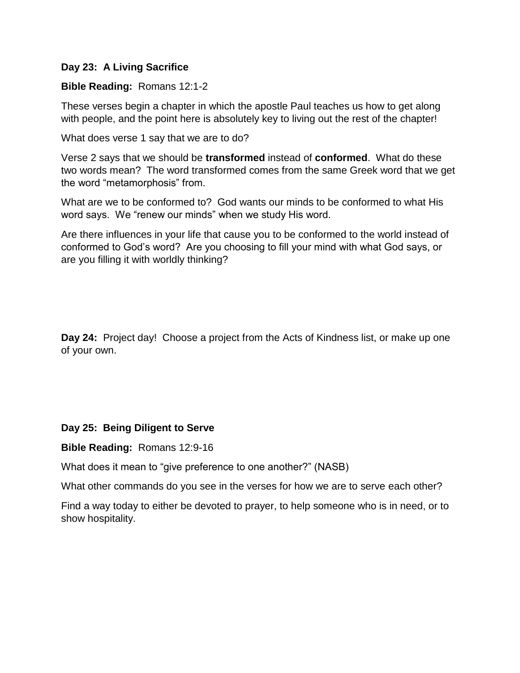# **Day 23: A Living Sacrifice**

# **Bible Reading:** Romans 12:1-2

These verses begin a chapter in which the apostle Paul teaches us how to get along with people, and the point here is absolutely key to living out the rest of the chapter!

What does verse 1 say that we are to do?

Verse 2 says that we should be **transformed** instead of **conformed**. What do these two words mean? The word transformed comes from the same Greek word that we get the word "metamorphosis" from.

What are we to be conformed to? God wants our minds to be conformed to what His word says. We "renew our minds" when we study His word.

Are there influences in your life that cause you to be conformed to the world instead of conformed to God's word? Are you choosing to fill your mind with what God says, or are you filling it with worldly thinking?

**Day 24:** Project day! Choose a project from the Acts of Kindness list, or make up one of your own.

## **Day 25: Being Diligent to Serve**

#### **Bible Reading:** Romans 12:9-16

What does it mean to "give preference to one another?" (NASB)

What other commands do you see in the verses for how we are to serve each other?

Find a way today to either be devoted to prayer, to help someone who is in need, or to show hospitality.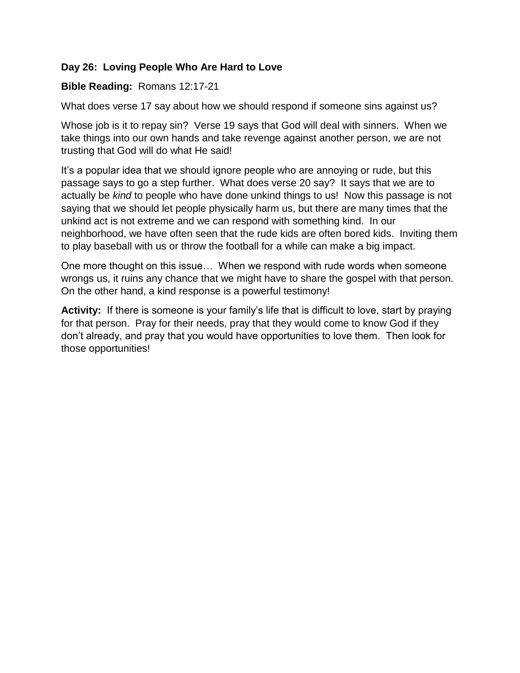# **Day 26: Loving People Who Are Hard to Love**

# **Bible Reading:** Romans 12:17-21

What does verse 17 say about how we should respond if someone sins against us?

Whose job is it to repay sin? Verse 19 says that God will deal with sinners. When we take things into our own hands and take revenge against another person, we are not trusting that God will do what He said!

It's a popular idea that we should ignore people who are annoying or rude, but this passage says to go a step further. What does verse 20 say? It says that we are to actually be *kind* to people who have done unkind things to us! Now this passage is not saying that we should let people physically harm us, but there are many times that the unkind act is not extreme and we can respond with something kind. In our neighborhood, we have often seen that the rude kids are often bored kids. Inviting them to play baseball with us or throw the football for a while can make a big impact.

One more thought on this issue… When we respond with rude words when someone wrongs us, it ruins any chance that we might have to share the gospel with that person. On the other hand, a kind response is a powerful testimony!

**Activity:** If there is someone is your family's life that is difficult to love, start by praying for that person. Pray for their needs, pray that they would come to know God if they don't already, and pray that you would have opportunities to love them. Then look for those opportunities!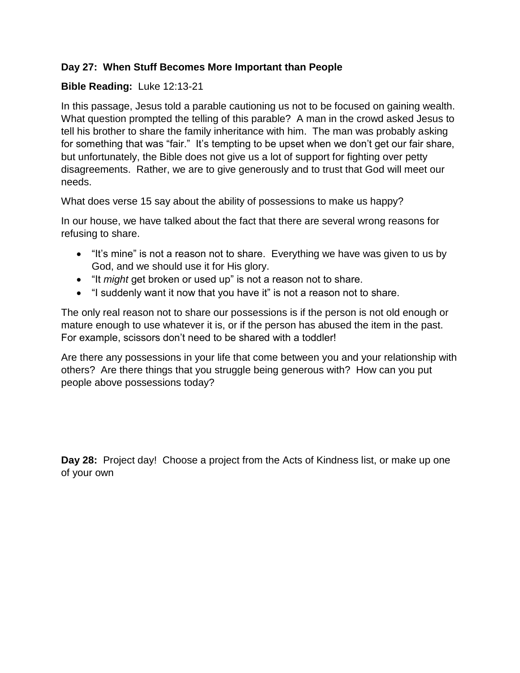# **Day 27: When Stuff Becomes More Important than People**

# **Bible Reading:** Luke 12:13-21

In this passage, Jesus told a parable cautioning us not to be focused on gaining wealth. What question prompted the telling of this parable? A man in the crowd asked Jesus to tell his brother to share the family inheritance with him. The man was probably asking for something that was "fair." It's tempting to be upset when we don't get our fair share, but unfortunately, the Bible does not give us a lot of support for fighting over petty disagreements. Rather, we are to give generously and to trust that God will meet our needs.

What does verse 15 say about the ability of possessions to make us happy?

In our house, we have talked about the fact that there are several wrong reasons for refusing to share.

- "It's mine" is not a reason not to share. Everything we have was given to us by God, and we should use it for His glory.
- "It *might* get broken or used up" is not a reason not to share.
- "I suddenly want it now that you have it" is not a reason not to share.

The only real reason not to share our possessions is if the person is not old enough or mature enough to use whatever it is, or if the person has abused the item in the past. For example, scissors don't need to be shared with a toddler!

Are there any possessions in your life that come between you and your relationship with others? Are there things that you struggle being generous with? How can you put people above possessions today?

**Day 28:** Project day! Choose a project from the Acts of Kindness list, or make up one of your own